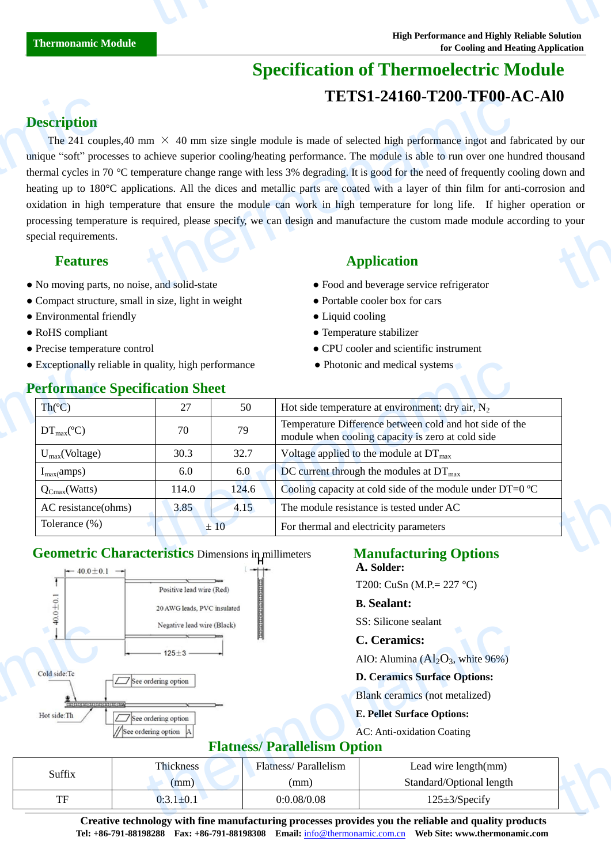# **Specification of Thermoelectric Module TETS1-24160-T200-TF00-AC-Al0**

# **Description**

The 241 couples,40 mm  $\times$  40 mm size single module is made of selected high performance ingot and fabricated by our unique "soft" processes to achieve superior cooling/heating performance. The module is able to run over one hundred thousand thermal cycles in 70 °C temperature change range with less 3% degrading. It is good for the need of frequently cooling down and heating up to 180°C applications. All the dices and metallic parts are coated with a layer of thin film for anti-corrosion and oxidation in high temperature that ensure the module can work in high temperature for long life. If higher operation or processing temperature is required, please specify, we can design and manufacture the custom made module according to your special requirements. **Description**<br>The 241 coupling the 241 coupling the 241 coupling the 241 coupling the 180 oxidation in high processing temper<br>special requirement Special requirement Special requirement **IETSI-24100-T200-TF00-A**<br>
ann  $\times$  40 mm size single module is made of selected high performance ingot and fa<br>
achieve superior cooling/heating performance. The module is able to run over one hu<br>
apperature change range thermon<br>thermonal wine and<br>thermonal control your<br>to your

## **Features Application**

- No moving parts, no noise, and solid-state **•** Food and beverage service refrigerator
- Compact structure, small in size, light in weight Portable cooler box for cars
- Environmental friendly Liquid cooling
- 
- 
- Exceptionally reliable in quality, high performance Photonic and medical systems

- 
- 
- 
- RoHS compliant **Profile Example 2018** Temperature stabilizer
- Precise temperature control CPU cooler and scientific instrument
	-

| • Exceptionally reliable in quality, high performance |       |       | • Photonic and medical systems                                                                               |  |
|-------------------------------------------------------|-------|-------|--------------------------------------------------------------------------------------------------------------|--|
| <b>Performance Specification Sheet</b>                |       |       |                                                                                                              |  |
| $\text{Th}(\mathcal{C})$                              | 27    | 50    | Hot side temperature at environment: dry air, $N_2$                                                          |  |
| $DT_{\text{max}}(\mathcal{C})$                        | 70    | 79    | Temperature Difference between cold and hot side of the<br>module when cooling capacity is zero at cold side |  |
| $U_{max}(Voltage)$                                    | 30.3  | 32.7  | Voltage applied to the module at $DT_{\text{max}}$                                                           |  |
| $I_{max}(amps)$                                       | 6.0   | 6.0   | DC current through the modules at $DT_{\text{max}}$                                                          |  |
| $Q_{Cmax}(Watts)$                                     | 114.0 | 124.6 | Cooling capacity at cold side of the module under DT=0 $\mathbb{C}$                                          |  |
| AC resistance(ohms)                                   | 3.85  | 4.15  | The module resistance is tested under AC                                                                     |  |
| Tolerance $(\%)$                                      |       | ±10   | For thermal and electricity parameters                                                                       |  |

## **Geometric Characteristics** Dimensions in millimeters **Manufacturing Options**



**A. Solder:**

T200: CuSn (M.P.= 227 °C)

### **B. Sealant:**

SS: Silicone sealant

### **C. Ceramics:**

### **D. Ceramics Surface Options:**

### **E. Pellet Surface Options:**

# **Flatness/ Parallelism Option**

|                                     | Negative lead wire (Black) |                             | <b>DD.</b> DIIICUITE SCAIAIIL                                                                                                                                                                                                             |  |  |  |
|-------------------------------------|----------------------------|-----------------------------|-------------------------------------------------------------------------------------------------------------------------------------------------------------------------------------------------------------------------------------------|--|--|--|
|                                     |                            |                             | C. Ceramics:                                                                                                                                                                                                                              |  |  |  |
| $125 + 3$ —                         |                            |                             | AlO: Alumina $(Al_2O_3)$ , white 96%)                                                                                                                                                                                                     |  |  |  |
| Cold side:Tc<br>See ordering option |                            |                             | <b>D. Ceramics Surface Options:</b>                                                                                                                                                                                                       |  |  |  |
| 100000000000000000000000            |                            |                             | Blank ceramics (not metalized)                                                                                                                                                                                                            |  |  |  |
| Hot side:Th                         | $\Box$ See ordering option |                             | <b>E. Pellet Surface Options:</b>                                                                                                                                                                                                         |  |  |  |
|                                     | See ordering option        |                             | AC: Anti-oxidation Coating                                                                                                                                                                                                                |  |  |  |
| <b>Flatness/ Parallelism Option</b> |                            |                             |                                                                                                                                                                                                                                           |  |  |  |
| Suffix                              | Thickness                  | <b>Flatness/Parallelism</b> | Lead wire $length(mm)$                                                                                                                                                                                                                    |  |  |  |
|                                     | (mm)                       | (mm)                        | Standard/Optional length                                                                                                                                                                                                                  |  |  |  |
| TF                                  | $0:3.1 \pm 0.1$            | 0:0.08/0.08                 | $125 \pm 3$ /Specify                                                                                                                                                                                                                      |  |  |  |
|                                     |                            |                             | $\alpha$ and the state of the $\alpha$ -state $\alpha$ -state of the second contribution of the second contribution of the second state of the second state of the second state of the second state of the second state of the second sta |  |  |  |

**Creative technology with fine manufacturing processes provides you the reliable and quality products Tel: +86-791-88198288 Fax: +86-791-88198308 Email:** info@thermonamic.com.cn **Web Site: www.thermonamic.com C. Ceramics:**

# **Performance Specification Sheet**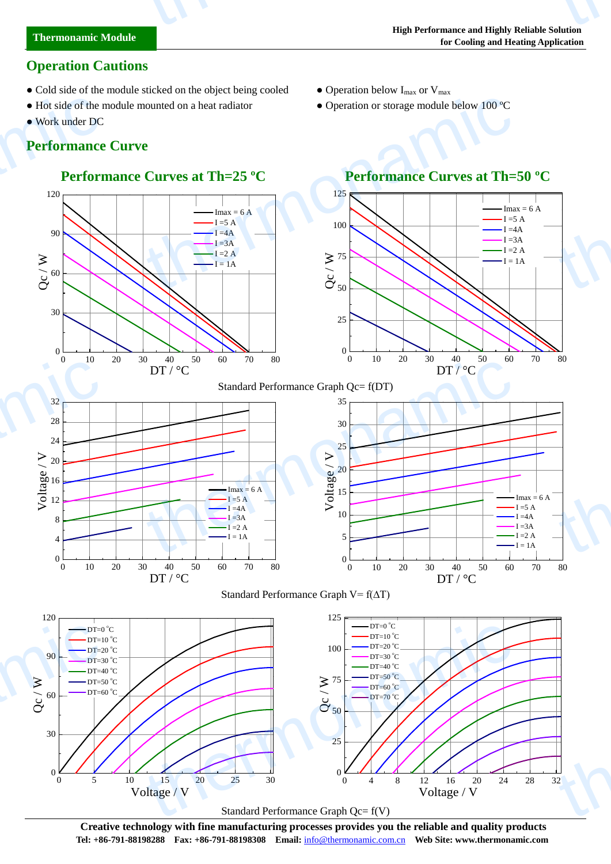# **Operation Cautions**

- Cold side of the module sticked on the object being cooled Operation below  $I_{\text{max}}$  or  $V_{\text{max}}$
- Hot side of the module mounted on a heat radiator Operation or storage module below 100  $\mathbb{C}$
- Work under DC

thermonamic

# **Performance Curve**

# **Performance Curves at Th=25 <sup>°</sup>C Performance Curves at Th=50 <sup>°</sup>C**







# Standard Performance Graph Qc= f(DT)









**Creative technology with fine manufacturing processes provides you the reliable and quality products Tel: +86-791-88198288 Fax: +86-791-88198308 Email:** info@thermonamic.com.cn **Web Site: www.thermonamic.com**